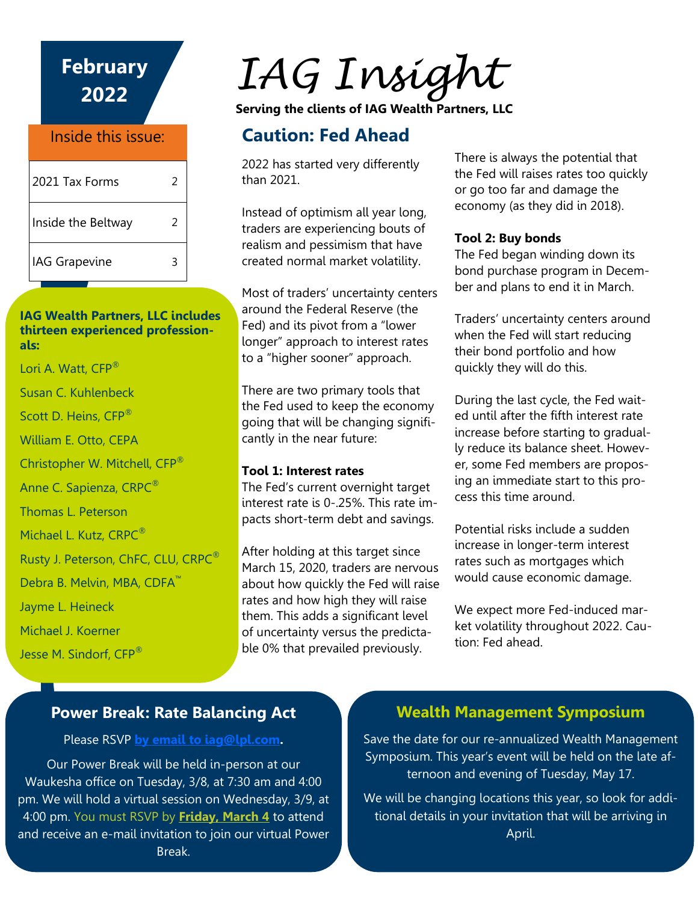**February 2022** Inside this issue:

| 2021 Tax Forms     | 2 |
|--------------------|---|
| Inside the Beltway | 2 |
| IAG Grapevine      | ξ |

#### **IAG Wealth Partners, LLC includes thirteen experienced professionals:**

Lori A. Watt, CFP<sup>®</sup> Susan C. Kuhlenbeck Scott D. Heins, CFP® William E. Otto, CEPA Christopher W. Mitchell, CFP® Anne C. Sapienza, CRPC® Thomas L. Peterson Michael L. Kutz, CRPC®

Rusty J. Peterson, ChFC, CLU, CRPC<sup>®</sup>

Debra B. Melvin, MBA, CDFA<sup>™</sup>

Jayme L. Heineck

Michael J. Koerner

Jesse M. Sindorf, CFP®

# *IAG Insight*

**Serving the clients of IAG Wealth Partners, LLC**

## **Caution: Fed Ahead**

2022 has started very differently than 2021.

Instead of optimism all year long, traders are experiencing bouts of realism and pessimism that have created normal market volatility.

Most of traders' uncertainty centers around the Federal Reserve (the Fed) and its pivot from a "lower longer" approach to interest rates to a "higher sooner" approach.

There are two primary tools that the Fed used to keep the economy going that will be changing significantly in the near future:

#### **Tool 1: Interest rates**

The Fed's current overnight target interest rate is 0-.25%. This rate impacts short-term debt and savings.

After holding at this target since March 15, 2020, traders are nervous about how quickly the Fed will raise rates and how high they will raise them. This adds a significant level of uncertainty versus the predictable 0% that prevailed previously.

There is always the potential that the Fed will raises rates too quickly or go too far and damage the economy (as they did in 2018).

#### **Tool 2: Buy bonds**

The Fed began winding down its bond purchase program in December and plans to end it in March.

Traders' uncertainty centers around when the Fed will start reducing their bond portfolio and how quickly they will do this.

During the last cycle, the Fed waited until after the fifth interest rate increase before starting to gradually reduce its balance sheet. However, some Fed members are proposing an immediate start to this process this time around.

Potential risks include a sudden increase in longer-term interest rates such as mortgages which would cause economic damage.

We expect more Fed-induced market volatility throughout 2022. Caution: Fed ahead.

## **Power Break: Rate Balancing Act**

#### Please RSVP **[by email to iag@lpl.com.](mailto:iag@lpl.com)**

Our Power Break will be held in-person at our Waukesha office on Tuesday, 3/8, at 7:30 am and 4:00 pm. We will hold a virtual session on Wednesday, 3/9, at 4:00 pm. You must RSVP by **Friday, March 4** to attend and receive an e-mail invitation to join our virtual Power Break.

## **Wealth Management Symposium**

Save the date for our re-annualized Wealth Management Symposium. This year's event will be held on the late afternoon and evening of Tuesday, May 17.

We will be changing locations this year, so look for additional details in your invitation that will be arriving in April.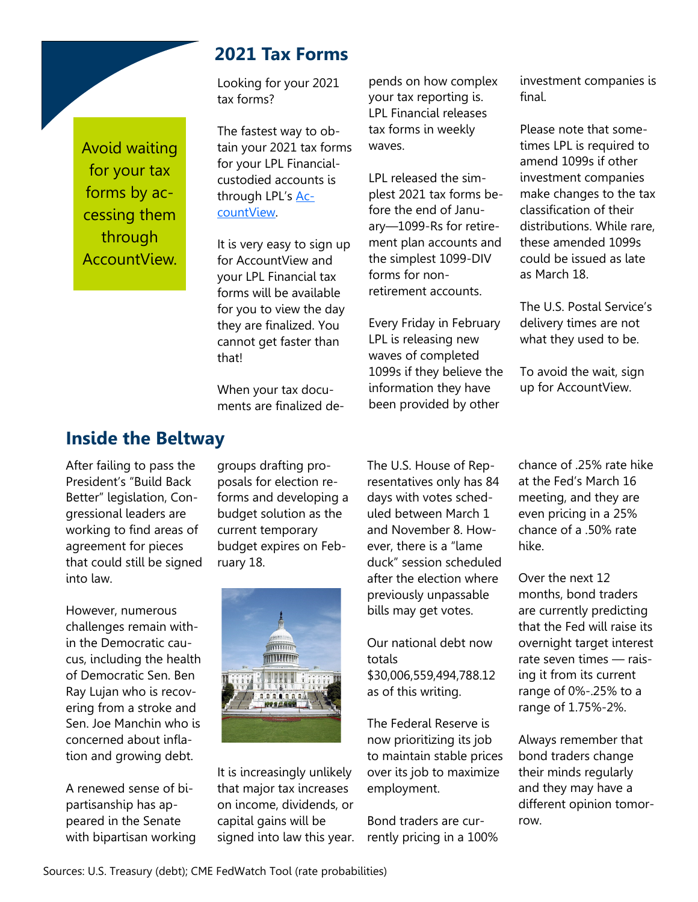Avoid waiting for your tax forms by accessing them through AccountView.

### **2021 Tax Forms**

Looking for your 2021 tax forms?

The fastest way to obtain your 2021 tax forms for your LPL Financialcustodied accounts is through LPL's [Ac](https://myaccountviewonline.com/login/)[countView.](https://myaccountviewonline.com/login/)

It is very easy to sign up for AccountView and your LPL Financial tax forms will be available for you to view the day they are finalized. You cannot get faster than that!

When your tax documents are finalized de-

pends on how complex your tax reporting is. LPL Financial releases tax forms in weekly waves.

LPL released the simplest 2021 tax forms before the end of January—1099-Rs for retirement plan accounts and the simplest 1099-DIV forms for nonretirement accounts.

Every Friday in February LPL is releasing new waves of completed 1099s if they believe the information they have been provided by other

investment companies is final.

Please note that sometimes LPL is required to amend 1099s if other investment companies make changes to the tax classification of their distributions. While rare, these amended 1099s could be issued as late as March 18.

The U.S. Postal Service's delivery times are not what they used to be.

To avoid the wait, sign up for AccountView.

#### **Inside the Beltway**

After failing to pass the President's "Build Back Better" legislation, Congressional leaders are working to find areas of agreement for pieces that could still be signed into law.

However, numerous challenges remain within the Democratic caucus, including the health of Democratic Sen. Ben Ray Lujan who is recovering from a stroke and Sen. Joe Manchin who is concerned about inflation and growing debt.

A renewed sense of bipartisanship has appeared in the Senate with bipartisan working

groups drafting proposals for election reforms and developing a budget solution as the current temporary budget expires on February 18.



It is increasingly unlikely that major tax increases on income, dividends, or capital gains will be signed into law this year. The U.S. House of Representatives only has 84 days with votes scheduled between March 1 and November 8. However, there is a "lame duck" session scheduled after the election where previously unpassable bills may get votes.

Our national debt now totals \$30,006,559,494,788.12 as of this writing.

The Federal Reserve is now prioritizing its job to maintain stable prices over its job to maximize employment.

Bond traders are currently pricing in a 100% chance of .25% rate hike at the Fed's March 16 meeting, and they are even pricing in a 25% chance of a .50% rate hike.

Over the next 12 months, bond traders are currently predicting that the Fed will raise its overnight target interest rate seven times — raising it from its current range of 0%-.25% to a range of 1.75%-2%.

Always remember that bond traders change their minds regularly and they may have a different opinion tomorrow.